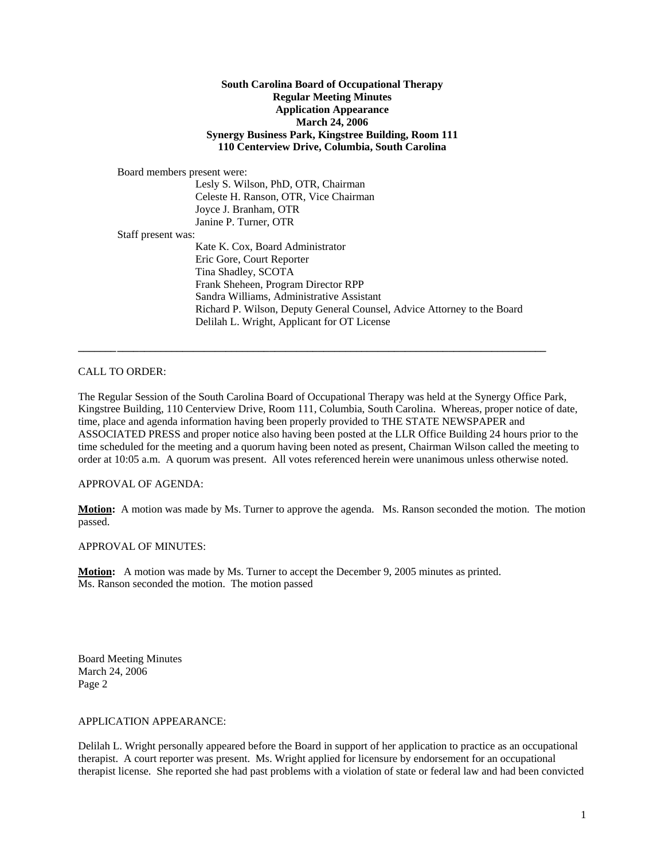## **South Carolina Board of Occupational Therapy Regular Meeting Minutes Application Appearance March 24, 2006 Synergy Business Park, Kingstree Building, Room 111 110 Centerview Drive, Columbia, South Carolina**

Board members present were:

 Lesly S. Wilson, PhD, OTR, Chairman Celeste H. Ranson, OTR, Vice Chairman Joyce J. Branham, OTR Janine P. Turner, OTR Staff present was: Kate K. Cox, Board Administrator Eric Gore, Court Reporter Tina Shadley, SCOTA Frank Sheheen, Program Director RPP Sandra Williams, Administrative Assistant Richard P. Wilson, Deputy General Counsel, Advice Attorney to the Board Delilah L. Wright, Applicant for OT License

CALL TO ORDER:

The Regular Session of the South Carolina Board of Occupational Therapy was held at the Synergy Office Park, Kingstree Building, 110 Centerview Drive, Room 111, Columbia, South Carolina. Whereas, proper notice of date, time, place and agenda information having been properly provided to THE STATE NEWSPAPER and ASSOCIATED PRESS and proper notice also having been posted at the LLR Office Building 24 hours prior to the time scheduled for the meeting and a quorum having been noted as present, Chairman Wilson called the meeting to order at 10:05 a.m. A quorum was present. All votes referenced herein were unanimous unless otherwise noted.

**\_\_\_\_\_\_\_ \_\_\_\_\_\_\_\_\_\_\_\_\_\_\_\_\_\_\_\_\_\_\_\_\_\_\_\_\_\_\_\_\_\_\_\_\_\_\_\_\_\_\_\_\_\_\_\_\_\_\_\_\_\_\_\_\_\_\_\_\_\_\_\_\_\_\_\_\_\_\_\_\_\_\_\_\_\_\_** 

APPROVAL OF AGENDA:

**Motion:** A motion was made by Ms. Turner to approve the agenda. Ms. Ranson seconded the motion. The motion passed.

### APPROVAL OF MINUTES:

**Motion:** A motion was made by Ms. Turner to accept the December 9, 2005 minutes as printed. Ms. Ranson seconded the motion. The motion passed

Board Meeting Minutes March 24, 2006 Page 2

APPLICATION APPEARANCE:

Delilah L. Wright personally appeared before the Board in support of her application to practice as an occupational therapist. A court reporter was present. Ms. Wright applied for licensure by endorsement for an occupational therapist license. She reported she had past problems with a violation of state or federal law and had been convicted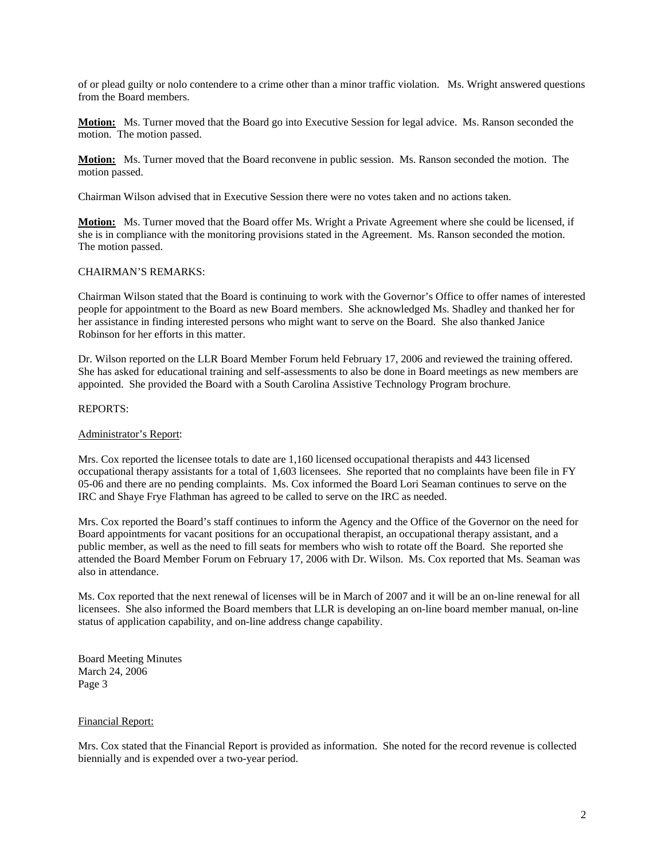of or plead guilty or nolo contendere to a crime other than a minor traffic violation. Ms. Wright answered questions from the Board members.

**Motion:** Ms. Turner moved that the Board go into Executive Session for legal advice. Ms. Ranson seconded the motion. The motion passed.

**Motion:** Ms. Turner moved that the Board reconvene in public session. Ms. Ranson seconded the motion. The motion passed.

Chairman Wilson advised that in Executive Session there were no votes taken and no actions taken.

**Motion:** Ms. Turner moved that the Board offer Ms. Wright a Private Agreement where she could be licensed, if she is in compliance with the monitoring provisions stated in the Agreement. Ms. Ranson seconded the motion. The motion passed.

## CHAIRMAN'S REMARKS:

Chairman Wilson stated that the Board is continuing to work with the Governor's Office to offer names of interested people for appointment to the Board as new Board members. She acknowledged Ms. Shadley and thanked her for her assistance in finding interested persons who might want to serve on the Board. She also thanked Janice Robinson for her efforts in this matter.

Dr. Wilson reported on the LLR Board Member Forum held February 17, 2006 and reviewed the training offered. She has asked for educational training and self-assessments to also be done in Board meetings as new members are appointed. She provided the Board with a South Carolina Assistive Technology Program brochure.

### REPORTS:

### Administrator's Report:

Mrs. Cox reported the licensee totals to date are 1,160 licensed occupational therapists and 443 licensed occupational therapy assistants for a total of 1,603 licensees. She reported that no complaints have been file in FY 05-06 and there are no pending complaints. Ms. Cox informed the Board Lori Seaman continues to serve on the IRC and Shaye Frye Flathman has agreed to be called to serve on the IRC as needed.

Mrs. Cox reported the Board's staff continues to inform the Agency and the Office of the Governor on the need for Board appointments for vacant positions for an occupational therapist, an occupational therapy assistant, and a public member, as well as the need to fill seats for members who wish to rotate off the Board. She reported she attended the Board Member Forum on February 17, 2006 with Dr. Wilson. Ms. Cox reported that Ms. Seaman was also in attendance.

Ms. Cox reported that the next renewal of licenses will be in March of 2007 and it will be an on-line renewal for all licensees. She also informed the Board members that LLR is developing an on-line board member manual, on-line status of application capability, and on-line address change capability.

Board Meeting Minutes March 24, 2006 Page 3

### Financial Report:

Mrs. Cox stated that the Financial Report is provided as information. She noted for the record revenue is collected biennially and is expended over a two-year period.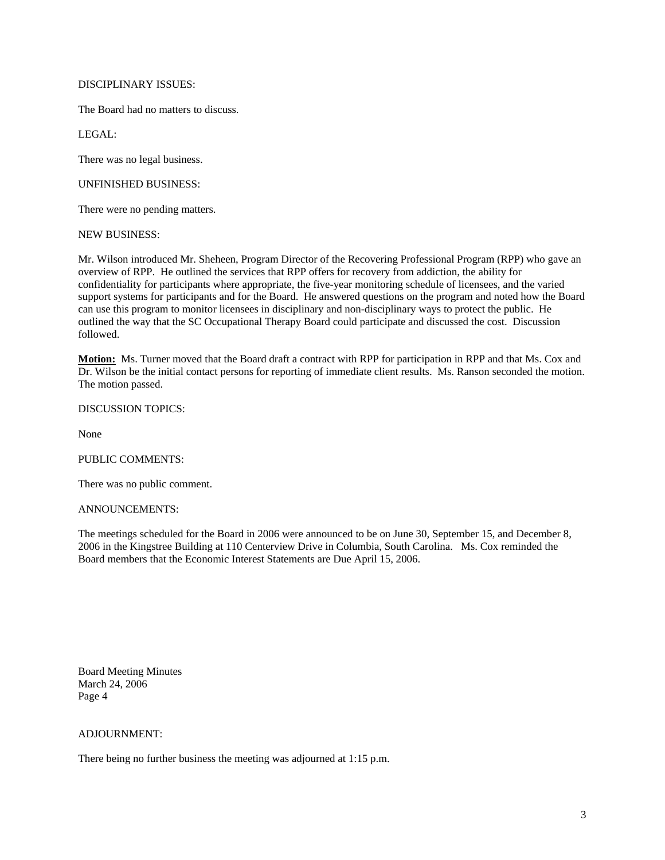# DISCIPLINARY ISSUES:

The Board had no matters to discuss.

LEGAL:

There was no legal business.

## UNFINISHED BUSINESS:

There were no pending matters.

NEW BUSINESS:

Mr. Wilson introduced Mr. Sheheen, Program Director of the Recovering Professional Program (RPP) who gave an overview of RPP. He outlined the services that RPP offers for recovery from addiction, the ability for confidentiality for participants where appropriate, the five-year monitoring schedule of licensees, and the varied support systems for participants and for the Board. He answered questions on the program and noted how the Board can use this program to monitor licensees in disciplinary and non-disciplinary ways to protect the public. He outlined the way that the SC Occupational Therapy Board could participate and discussed the cost. Discussion followed.

**Motion:** Ms. Turner moved that the Board draft a contract with RPP for participation in RPP and that Ms. Cox and Dr. Wilson be the initial contact persons for reporting of immediate client results. Ms. Ranson seconded the motion. The motion passed.

DISCUSSION TOPICS:

None

### PUBLIC COMMENTS:

There was no public comment.

### ANNOUNCEMENTS:

The meetings scheduled for the Board in 2006 were announced to be on June 30, September 15, and December 8, 2006 in the Kingstree Building at 110 Centerview Drive in Columbia, South Carolina. Ms. Cox reminded the Board members that the Economic Interest Statements are Due April 15, 2006.

Board Meeting Minutes March 24, 2006 Page 4

# ADJOURNMENT:

There being no further business the meeting was adjourned at 1:15 p.m.